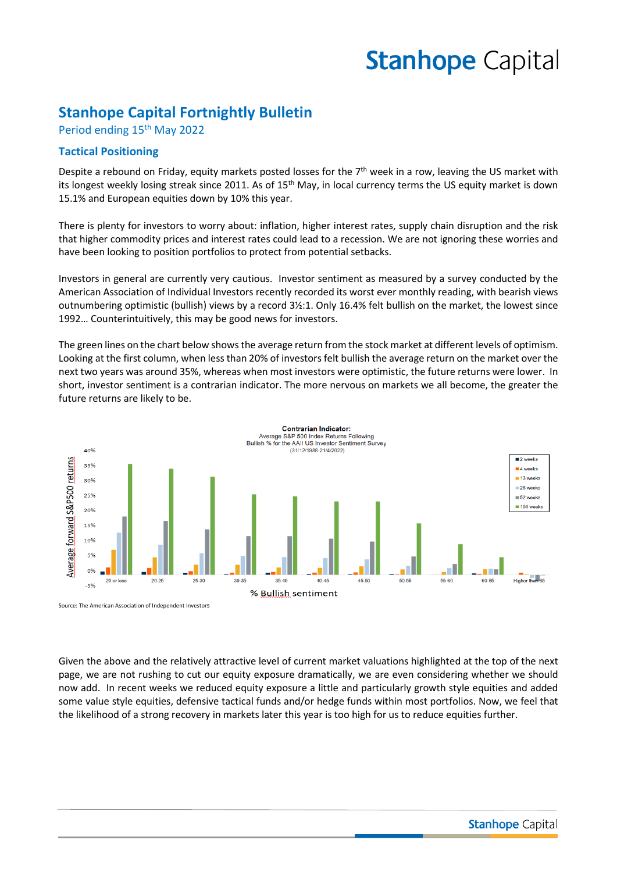# **Stanhope Capital**

## **Stanhope Capital Fortnightly Bulletin**

Period ending 15<sup>th</sup> May 2022

## **Tactical Positioning**

Despite a rebound on Friday, equity markets posted losses for the  $7<sup>th</sup>$  week in a row, leaving the US market with its longest weekly losing streak since 2011. As of 15<sup>th</sup> May, in local currency terms the US equity market is down 15.1% and European equities down by 10% this year.

There is plenty for investors to worry about: inflation, higher interest rates, supply chain disruption and the risk that higher commodity prices and interest rates could lead to a recession. We are not ignoring these worries and have been looking to position portfolios to protect from potential setbacks.

Investors in general are currently very cautious. Investor sentiment as measured by a survey conducted by the American Association of Individual Investors recently recorded its worst ever monthly reading, with bearish views outnumbering optimistic (bullish) views by a record 3½:1. Only 16.4% felt bullish on the market, the lowest since 1992… Counterintuitively, this may be good news for investors.

The green lines on the chart below shows the average return from the stock market at different levels of optimism. Looking at the first column, when less than 20% of investors felt bullish the average return on the market over the next two years was around 35%, whereas when most investors were optimistic, the future returns were lower. In short, investor sentiment is a contrarian indicator. The more nervous on markets we all become, the greater the future returns are likely to be.



Given the above and the relatively attractive level of current market valuations highlighted at the top of the next page, we are not rushing to cut our equity exposure dramatically, we are even considering whether we should now add. In recent weeks we reduced equity exposure a little and particularly growth style equities and added some value style equities, defensive tactical funds and/or hedge funds within most portfolios. Now, we feel that the likelihood of a strong recovery in markets later this year is too high for us to reduce equities further.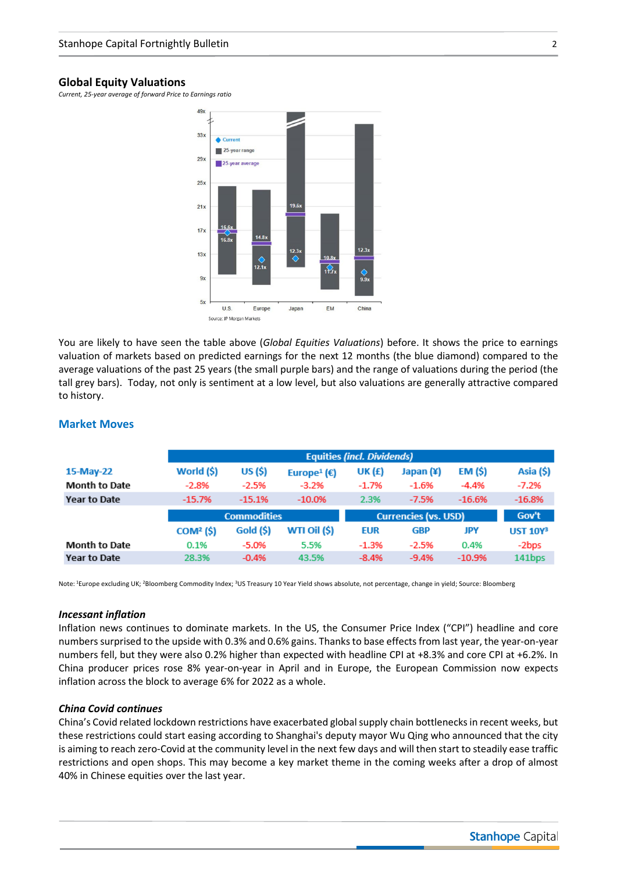#### **Global Equity Valuations**

*Current, 25-year average of forward Price to Earnings ratio*



You are likely to have seen the table above (*Global Equities Valuations*) before. It shows the price to earnings valuation of markets based on predicted earnings for the next 12 months (the blue diamond) compared to the average valuations of the past 25 years (the small purple bars) and the range of valuations during the period (the tall grey bars). Today, not only is sentiment at a low level, but also valuations are generally attractive compared to history.

|                      | <b>Equities (incl. Dividends)</b> |           |                         |            |                             |          |                 |
|----------------------|-----------------------------------|-----------|-------------------------|------------|-----------------------------|----------|-----------------|
| 15-May-22            | World (\$)                        | US (\$)   | Europe <sup>1</sup> (€) | UK (£)     | Japan (¥)                   | EM (\$)  | Asia (\$)       |
| <b>Month to Date</b> | $-2.8%$                           | $-2.5%$   | $-3.2%$                 | $-1.7%$    | $-1.6%$                     | $-4.4%$  | $-7.2%$         |
| Year to Date         | $-15.7%$                          | $-15.1%$  | $-10.0%$                | 2.3%       | $-7.5%$                     | $-16.6%$ | $-16.8%$        |
|                      | <b>Commodities</b>                |           |                         |            |                             |          |                 |
|                      |                                   |           |                         |            | <b>Currencies (vs. USD)</b> |          | Gov't           |
|                      | COM <sup>2</sup> (S)              | Gold (\$) | WTI Oil (\$)            | <b>EUR</b> | <b>GBP</b>                  | JPY      | <b>UST 10Y3</b> |
| <b>Month to Date</b> | 0.1%                              | $-5.0%$   | 5.5%                    | $-1.3%$    | $-2.5%$                     | 0.4%     | -2bps           |

### **Market Moves**

Note: <sup>1</sup>Europe excluding UK; <sup>2</sup>Bloomberg Commodity Index; <sup>3</sup>US Treasury 10 Year Yield shows absolute, not percentage, change in yield; Source: Bloomberg

#### *Incessant inflation*

Inflation news continues to dominate markets. In the US, the Consumer Price Index ("CPI") headline and core numbers surprised to the upside with 0.3% and 0.6% gains. Thanks to base effects from last year, the year-on-year numbers fell, but they were also 0.2% higher than expected with headline CPI at +8.3% and core CPI at +6.2%. In China producer prices rose 8% year-on-year in April and in Europe, the European Commission now expects inflation across the block to average 6% for 2022 as a whole.

#### *China Covid continues*

China's Covid related lockdown restrictions have exacerbated global supply chain bottlenecks in recent weeks, but these restrictions could start easing according to Shanghai's deputy mayor Wu Qing who announced that the city is aiming to reach zero-Covid at the community level in the next few days and will then start to steadily ease traffic restrictions and open shops. This may become a key market theme in the coming weeks after a drop of almost 40% in Chinese equities over the last year.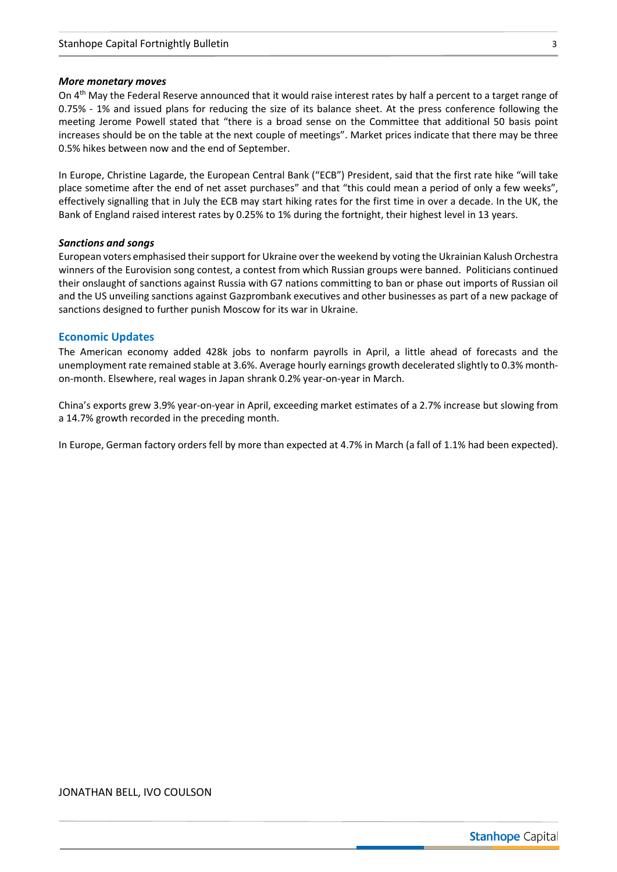#### *More monetary moves*

On 4<sup>th</sup> May the Federal Reserve announced that it would raise interest rates by half a percent to a target range of 0.75% - 1% and issued plans for reducing the size of its balance sheet. At the press conference following the meeting Jerome Powell stated that "there is a broad sense on the Committee that additional 50 basis point increases should be on the table at the next couple of meetings". Market prices indicate that there may be three 0.5% hikes between now and the end of September.

In Europe, Christine Lagarde, the European Central Bank ("ECB") President, said that the first rate hike "will take place sometime after the end of net asset purchases" and that "this could mean a period of only a few weeks", effectively signalling that in July the ECB may start hiking rates for the first time in over a decade. In the UK, the Bank of England raised interest rates by 0.25% to 1% during the fortnight, their highest level in 13 years.

#### *Sanctions and songs*

European voters emphasised their support for Ukraine over the weekend by voting the Ukrainian Kalush Orchestra winners of the Eurovision song contest, a contest from which Russian groups were banned. Politicians continued their onslaught of sanctions against Russia with G7 nations committing to ban or phase out imports of Russian oil and the US unveiling sanctions against Gazprombank executives and other businesses as part of a new package of sanctions designed to further punish Moscow for its war in Ukraine.

#### **Economic Updates**

The American economy added 428k jobs to nonfarm payrolls in April, a little ahead of forecasts and the unemployment rate remained stable at 3.6%. Average hourly earnings growth decelerated slightly to 0.3% monthon-month. Elsewhere, real wages in Japan shrank 0.2% year-on-year in March.

China's exports grew 3.9% year-on-year in April, exceeding market estimates of a 2.7% increase but slowing from a 14.7% growth recorded in the preceding month.

In Europe, German factory orders fell by more than expected at 4.7% in March (a fall of 1.1% had been expected).

#### JONATHAN BELL, IVO COULSON